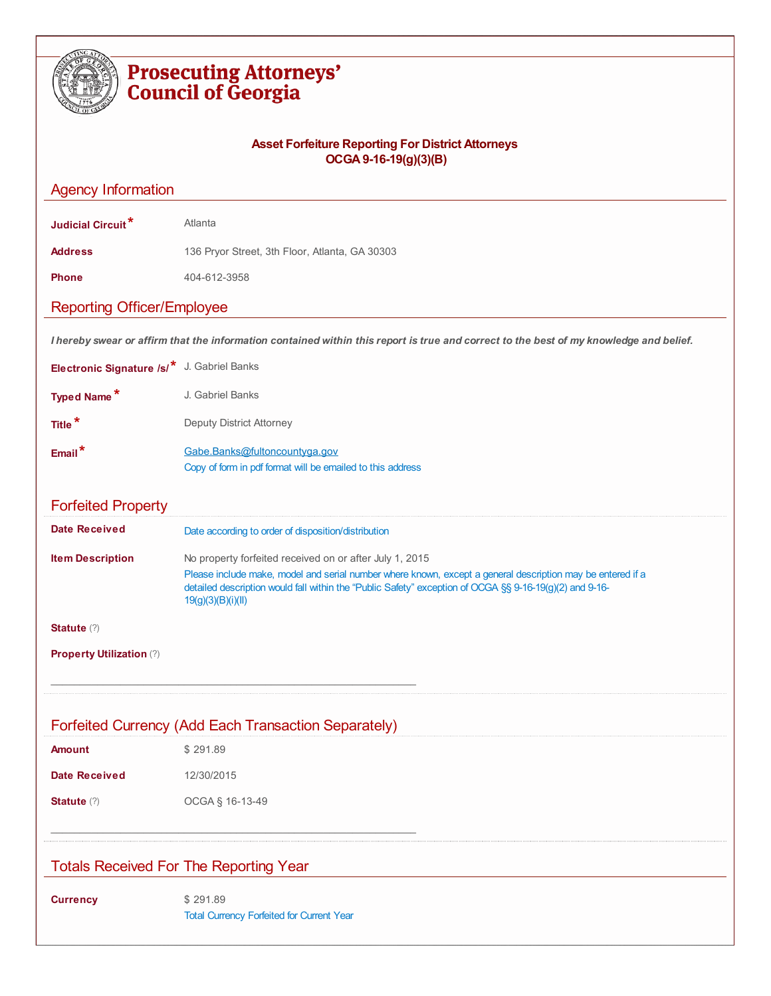| <b>Prosecuting Attorneys'</b><br><b>Council of Georgia</b> |                                                                                                                                                                                                                                                                                                        |  |
|------------------------------------------------------------|--------------------------------------------------------------------------------------------------------------------------------------------------------------------------------------------------------------------------------------------------------------------------------------------------------|--|
|                                                            | <b>Asset Forfeiture Reporting For District Attorneys</b><br>OCGA 9-16-19(g)(3)(B)                                                                                                                                                                                                                      |  |
| <b>Agency Information</b>                                  |                                                                                                                                                                                                                                                                                                        |  |
| Judicial Circuit <sup>*</sup>                              | Atlanta                                                                                                                                                                                                                                                                                                |  |
| <b>Address</b>                                             | 136 Pryor Street, 3th Floor, Atlanta, GA 30303                                                                                                                                                                                                                                                         |  |
| <b>Phone</b>                                               | 404-612-3958                                                                                                                                                                                                                                                                                           |  |
| <b>Reporting Officer/Employee</b>                          |                                                                                                                                                                                                                                                                                                        |  |
|                                                            | I hereby swear or affirm that the information contained within this report is true and correct to the best of my knowledge and belief.                                                                                                                                                                 |  |
| Electronic Signature /s/* J. Gabriel Banks                 |                                                                                                                                                                                                                                                                                                        |  |
| <b>Typed Name*</b>                                         | J. Gabriel Banks                                                                                                                                                                                                                                                                                       |  |
| Title <sup>*</sup>                                         | Deputy District Attorney                                                                                                                                                                                                                                                                               |  |
| $Email*$                                                   | Gabe.Banks@fultoncountyga.gov<br>Copy of form in pdf format will be emailed to this address                                                                                                                                                                                                            |  |
| <b>Forfeited Property</b>                                  |                                                                                                                                                                                                                                                                                                        |  |
| <b>Date Received</b>                                       | Date according to order of disposition/distribution                                                                                                                                                                                                                                                    |  |
| <b>Item Description</b>                                    | No property forfeited received on or after July 1, 2015<br>Please include make, model and serial number where known, except a general description may be entered if a<br>detailed description would fall within the "Public Safety" exception of OCGA §§ 9-16-19(g)(2) and 9-16-<br>19(g)(3)(B)(i)(II) |  |
| <b>Statute</b> (?)                                         |                                                                                                                                                                                                                                                                                                        |  |
| Property Utilization (?)                                   |                                                                                                                                                                                                                                                                                                        |  |
|                                                            | Forfeited Currency (Add Each Transaction Separately)                                                                                                                                                                                                                                                   |  |
| <b>Amount</b>                                              | \$291.89                                                                                                                                                                                                                                                                                               |  |
| <b>Date Received</b>                                       | 12/30/2015                                                                                                                                                                                                                                                                                             |  |
| Statute (?)                                                | OCGA § 16-13-49                                                                                                                                                                                                                                                                                        |  |
|                                                            | <b>Totals Received For The Reporting Year</b>                                                                                                                                                                                                                                                          |  |
| <b>Currency</b>                                            | \$291.89<br><b>Total Currency Forfeited for Current Year</b>                                                                                                                                                                                                                                           |  |